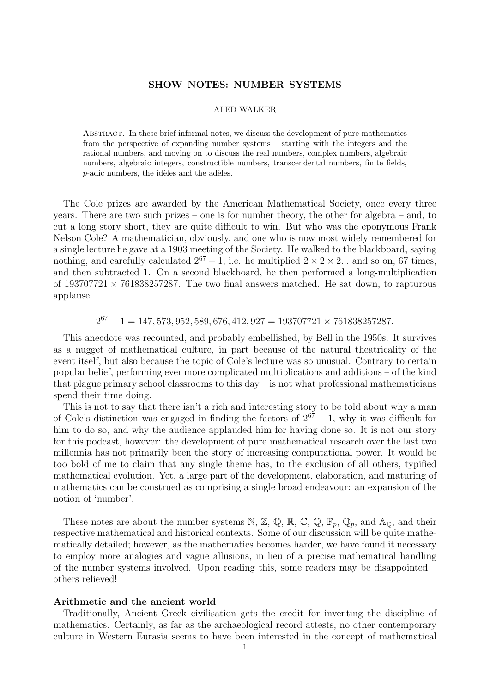### SHOW NOTES: NUMBER SYSTEMS

### ALED WALKER

Abstract. In these brief informal notes, we discuss the development of pure mathematics from the perspective of expanding number systems – starting with the integers and the rational numbers, and moving on to discuss the real numbers, complex numbers, algebraic numbers, algebraic integers, constructible numbers, transcendental numbers, finite fields,  $p$ -adic numbers, the idèles and the adèles.

The Cole prizes are awarded by the American Mathematical Society, once every three years. There are two such prizes – one is for number theory, the other for algebra – and, to cut a long story short, they are quite difficult to win. But who was the eponymous Frank Nelson Cole? A mathematician, obviously, and one who is now most widely remembered for a single lecture he gave at a 1903 meeting of the Society. He walked to the blackboard, saying nothing, and carefully calculated  $2^{67} - 1$ , i.e. he multiplied  $2 \times 2 \times 2$ ... and so on, 67 times, and then subtracted 1. On a second blackboard, he then performed a long-multiplication of  $193707721 \times 761838257287$ . The two final answers matched. He sat down, to rapturous applause.

# $2^{67} - 1 = 147,573,952,589,676,412,927 = 193707721 \times 761838257287.$

This anecdote was recounted, and probably embellished, by Bell in the 1950s. It survives as a nugget of mathematical culture, in part because of the natural theatricality of the event itself, but also because the topic of Cole's lecture was so unusual. Contrary to certain popular belief, performing ever more complicated multiplications and additions – of the kind that plague primary school classrooms to this  $day - is$  not what professional mathematicians spend their time doing.

This is not to say that there isn't a rich and interesting story to be told about why a man of Cole's distinction was engaged in finding the factors of  $2^{67} - 1$ , why it was difficult for him to do so, and why the audience applauded him for having done so. It is not our story for this podcast, however: the development of pure mathematical research over the last two millennia has not primarily been the story of increasing computational power. It would be too bold of me to claim that any single theme has, to the exclusion of all others, typified mathematical evolution. Yet, a large part of the development, elaboration, and maturing of mathematics can be construed as comprising a single broad endeavour: an expansion of the notion of 'number'.

These notes are about the number systems N, Z, Q, R, C,  $\overline{Q}$ , F<sub>p</sub>, Q<sub>p</sub>, and A<sub>Q</sub>, and their respective mathematical and historical contexts. Some of our discussion will be quite mathematically detailed; however, as the mathematics becomes harder, we have found it necessary to employ more analogies and vague allusions, in lieu of a precise mathematical handling of the number systems involved. Upon reading this, some readers may be disappointed – others relieved!

#### Arithmetic and the ancient world

Traditionally, Ancient Greek civilisation gets the credit for inventing the discipline of mathematics. Certainly, as far as the archaeological record attests, no other contemporary culture in Western Eurasia seems to have been interested in the concept of mathematical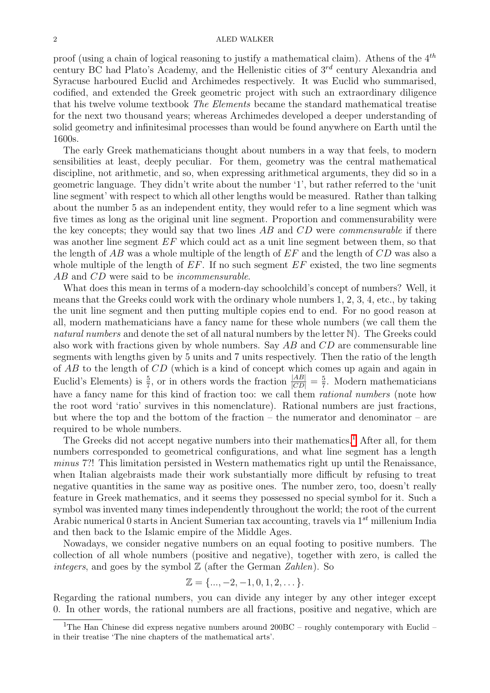proof (using a chain of logical reasoning to justify a mathematical claim). Athens of the  $4^{th}$ century BC had Plato's Academy, and the Hellenistic cities of  $3^{rd}$  century Alexandria and Syracuse harboured Euclid and Archimedes respectively. It was Euclid who summarised, codified, and extended the Greek geometric project with such an extraordinary diligence that his twelve volume textbook The Elements became the standard mathematical treatise for the next two thousand years; whereas Archimedes developed a deeper understanding of solid geometry and infinitesimal processes than would be found anywhere on Earth until the 1600s.

The early Greek mathematicians thought about numbers in a way that feels, to modern sensibilities at least, deeply peculiar. For them, geometry was the central mathematical discipline, not arithmetic, and so, when expressing arithmetical arguments, they did so in a geometric language. They didn't write about the number '1', but rather referred to the 'unit line segment' with respect to which all other lengths would be measured. Rather than talking about the number 5 as an independent entity, they would refer to a line segment which was five times as long as the original unit line segment. Proportion and commensurability were the key concepts; they would say that two lines  $AB$  and  $CD$  were *commensurable* if there was another line segment  $EF$  which could act as a unit line segment between them, so that the length of  $AB$  was a whole multiple of the length of  $EF$  and the length of  $CD$  was also a whole multiple of the length of  $EF$ . If no such segment  $EF$  existed, the two line segments AB and CD were said to be *incommensurable*.

What does this mean in terms of a modern-day schoolchild's concept of numbers? Well, it means that the Greeks could work with the ordinary whole numbers 1, 2, 3, 4, etc., by taking the unit line segment and then putting multiple copies end to end. For no good reason at all, modern mathematicians have a fancy name for these whole numbers (we call them the natural numbers and denote the set of all natural numbers by the letter N). The Greeks could also work with fractions given by whole numbers. Say  $AB$  and  $CD$  are commensurable line segments with lengths given by 5 units and 7 units respectively. Then the ratio of the length of AB to the length of CD (which is a kind of concept which comes up again and again in Euclid's Elements) is  $\frac{5}{7}$ , or in others words the fraction  $\frac{|AB|}{|CD|} = \frac{5}{7}$  $\frac{5}{7}$ . Modern mathematicians have a fancy name for this kind of fraction too: we call them *rational numbers* (note how the root word 'ratio' survives in this nomenclature). Rational numbers are just fractions, but where the top and the bottom of the fraction – the numerator and denominator – are required to be whole numbers.

The Greeks did not accept negative numbers into their mathematics.<sup>[[1](#page-1-0)]</sup> After all, for them numbers corresponded to geometrical configurations, and what line segment has a length minus 7?! This limitation persisted in Western mathematics right up until the Renaissance, when Italian algebraists made their work substantially more difficult by refusing to treat negative quantities in the same way as positive ones. The number zero, too, doesn't really feature in Greek mathematics, and it seems they possessed no special symbol for it. Such a symbol was invented many times independently throughout the world; the root of the current Arabic numerical 0 starts in Ancient Sumerian tax accounting, travels via  $1^{st}$  millenium India and then back to the Islamic empire of the Middle Ages.

Nowadays, we consider negative numbers on an equal footing to positive numbers. The collection of all whole numbers (positive and negative), together with zero, is called the integers, and goes by the symbol  $\mathbb Z$  (after the German Zahlen). So

$$
\mathbb{Z} = \{\ldots, -2, -1, 0, 1, 2, \ldots\}.
$$

Regarding the rational numbers, you can divide any integer by any other integer except 0. In other words, the rational numbers are all fractions, positive and negative, which are

<span id="page-1-0"></span><sup>&</sup>lt;sup>1</sup>The Han Chinese did express negative numbers around  $200BC - roughly$  contemporary with Euclid – in their treatise 'The nine chapters of the mathematical arts'.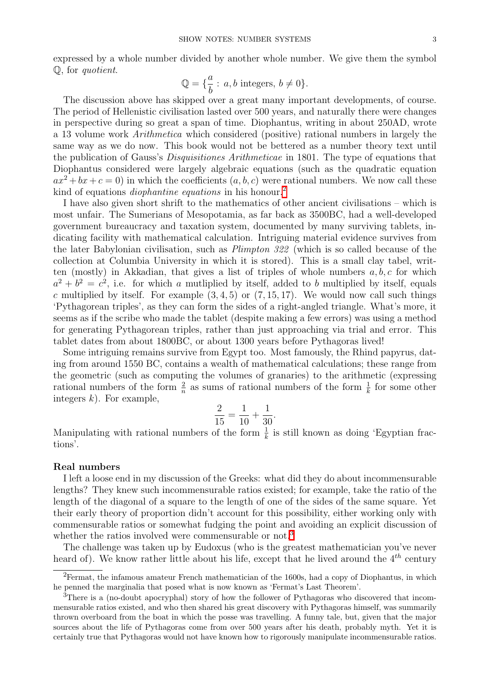expressed by a whole number divided by another whole number. We give them the symbol Q, for quotient.

$$
\mathbb{Q} = \{ \frac{a}{b} : a, b \text{ integers}, b \neq 0 \}.
$$

The discussion above has skipped over a great many important developments, of course. The period of Hellenistic civilisation lasted over 500 years, and naturally there were changes in perspective during so great a span of time. Diophantus, writing in about 250AD, wrote a 13 volume work Arithmetica which considered (positive) rational numbers in largely the same way as we do now. This book would not be bettered as a number theory text until the publication of Gauss's Disquisitiones Arithmeticae in 1801. The type of equations that Diophantus considered were largely algebraic equations (such as the quadratic equation  $ax^2 + bx + c = 0$  in which the coefficients  $(a, b, c)$  were rational numbers. We now call these kind of equations *diophantine equations* in his honour.<sup>[2](#page-2-0)</sup>

I have also given short shrift to the mathematics of other ancient civilisations – which is most unfair. The Sumerians of Mesopotamia, as far back as 3500BC, had a well-developed government bureaucracy and taxation system, documented by many surviving tablets, indicating facility with mathematical calculation. Intriguing material evidence survives from the later Babylonian civilisation, such as Plimpton 322 (which is so called because of the collection at Columbia University in which it is stored). This is a small clay tabel, written (mostly) in Akkadian, that gives a list of triples of whole numbers  $a, b, c$  for which  $a^2 + b^2 = c^2$ , i.e. for which a mutliplied by itself, added to b multiplied by itself, equals c multiplied by itself. For example  $(3, 4, 5)$  or  $(7, 15, 17)$ . We would now call such things 'Pythagorean triples', as they can form the sides of a right-angled triangle. What's more, it seems as if the scribe who made the tablet (despite making a few errors) was using a method for generating Pythagorean triples, rather than just approaching via trial and error. This tablet dates from about 1800BC, or about 1300 years before Pythagoras lived!

Some intriguing remains survive from Egypt too. Most famously, the Rhind papyrus, dating from around 1550 BC, contains a wealth of mathematical calculations; these range from the geometric (such as computing the volumes of granaries) to the arithmetic (expressing rational numbers of the form  $\frac{2}{n}$  as sums of rational numbers of the form  $\frac{1}{k}$  for some other integers  $k$ ). For example,

$$
\frac{2}{15} = \frac{1}{10} + \frac{1}{30}.
$$

Manipulating with rational numbers of the form  $\frac{1}{k}$  is still known as doing 'Egyptian fractions'.

### Real numbers

I left a loose end in my discussion of the Greeks: what did they do about incommensurable lengths? They knew such incommensurable ratios existed; for example, take the ratio of the length of the diagonal of a square to the length of one of the sides of the same square. Yet their early theory of proportion didn't account for this possibility, either working only with commensurable ratios or somewhat fudging the point and avoiding an explicit discussion of whether the ratios involved were commensurable or not.<sup>[3](#page-2-1)</sup>

The challenge was taken up by Eudoxus (who is the greatest mathematician you've never heard of). We know rather little about his life, except that he lived around the  $4^{th}$  century

<span id="page-2-0"></span><sup>&</sup>lt;sup>2</sup>Fermat, the infamous amateur French mathematician of the 1600s, had a copy of Diophantus, in which he penned the marginalia that posed what is now known as 'Fermat's Last Theorem'.

<span id="page-2-1"></span><sup>&</sup>lt;sup>3</sup>There is a (no-doubt apocryphal) story of how the follower of Pythagoras who discovered that incommensurable ratios existed, and who then shared his great discovery with Pythagoras himself, was summarily thrown overboard from the boat in which the posse was travelling. A funny tale, but, given that the major sources about the life of Pythagoras come from over 500 years after his death, probably myth. Yet it is certainly true that Pythagoras would not have known how to rigorously manipulate incommensurable ratios.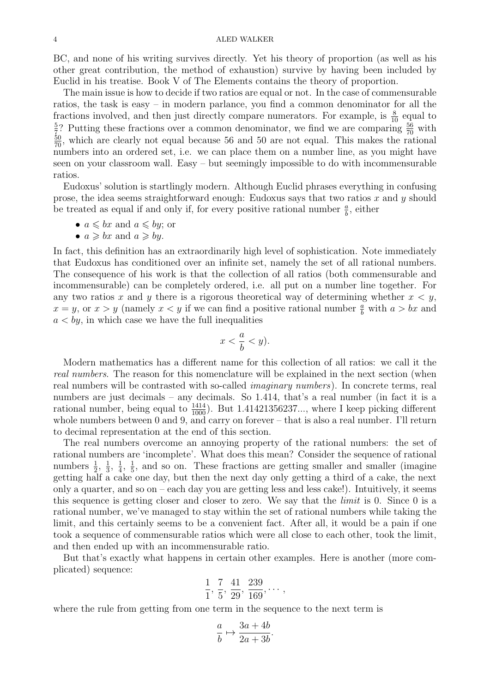BC, and none of his writing survives directly. Yet his theory of proportion (as well as his other great contribution, the method of exhaustion) survive by having been included by Euclid in his treatise. Book V of The Elements contains the theory of proportion.

The main issue is how to decide if two ratios are equal or not. In the case of commensurable ratios, the task is easy – in modern parlance, you find a common denominator for all the fractions involved, and then just directly compare numerators. For example, is  $\frac{8}{10}$  equal to  $\frac{52}{10}$  Putting those fractions over a common dependence we find we are comparing  $\frac{56}{10}$  with  $\frac{5}{7}$ ? Putting these fractions over a common denominator, we find we are comparing  $\frac{56}{70}$  with  $\frac{50}{70}$ , which are clearly not equal because 56 and 50 are not equal. This makes the rational numbers into an ordered set, i.e. we can place them on a number line, as you might have seen on your classroom wall. Easy – but seemingly impossible to do with incommensurable ratios.

Eudoxus' solution is startlingly modern. Although Euclid phrases everything in confusing prose, the idea seems straightforward enough: Eudoxus says that two ratios x and y should be treated as equal if and only if, for every positive rational number  $\frac{a}{b}$ , either

- $a \leqslant bx$  and  $a \leqslant by$ ; or
- $a \geqslant bx$  and  $a \geqslant by$ .

In fact, this definition has an extraordinarily high level of sophistication. Note immediately that Eudoxus has conditioned over an infinite set, namely the set of all rational numbers. The consequence of his work is that the collection of all ratios (both commensurable and incommensurable) can be completely ordered, i.e. all put on a number line together. For any two ratios x and y there is a rigorous theoretical way of determining whether  $x < y$ ,  $x = y$ , or  $x > y$  (namely  $x < y$  if we can find a positive rational number  $\frac{a}{b}$  with  $a > bx$  and  $a < by$ , in which case we have the full inequalities

$$
x < \frac{a}{b} < y).
$$

Modern mathematics has a different name for this collection of all ratios: we call it the real numbers. The reason for this nomenclature will be explained in the next section (when real numbers will be contrasted with so-called imaginary numbers). In concrete terms, real numbers are just decimals – any decimals. So 1.414, that's a real number (in fact it is a rational number, being equal to  $\frac{1414}{1000}$ . But 1.41421356237..., where I keep picking different whole numbers between 0 and 9, and carry on forever – that is also a real number. I'll return to decimal representation at the end of this section.

The real numbers overcome an annoying property of the rational numbers: the set of rational numbers are 'incomplete'. What does this mean? Consider the sequence of rational numbers  $\frac{1}{2}$ ,  $\frac{1}{3}$  $\frac{1}{3}, \frac{1}{4}$  $\frac{1}{4}, \frac{1}{5}$  $\frac{1}{5}$ , and so on. These fractions are getting smaller and smaller (imagine getting half a cake one day, but then the next day only getting a third of a cake, the next only a quarter, and so on – each day you are getting less and less cake!). Intuitively, it seems this sequence is getting closer and closer to zero. We say that the limit is 0. Since 0 is a rational number, we've managed to stay within the set of rational numbers while taking the limit, and this certainly seems to be a convenient fact. After all, it would be a pain if one took a sequence of commensurable ratios which were all close to each other, took the limit, and then ended up with an incommensurable ratio.

But that's exactly what happens in certain other examples. Here is another (more complicated) sequence:

$$
\frac{1}{1}, \frac{7}{5}, \frac{41}{29}, \frac{239}{169}, \cdots,
$$

where the rule from getting from one term in the sequence to the next term is

$$
\frac{a}{b} \mapsto \frac{3a + 4b}{2a + 3b}.
$$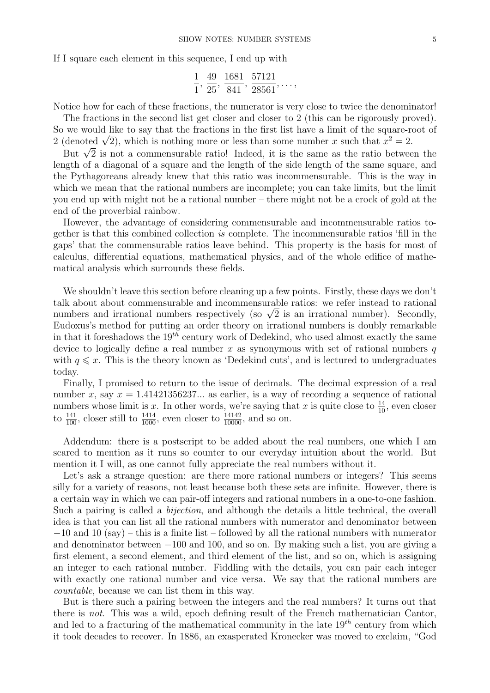If I square each element in this sequence, I end up with

$$
\frac{1}{1}, \frac{49}{25}, \frac{1681}{841}, \frac{57121}{28561}, \ldots,
$$

Notice how for each of these fractions, the numerator is very close to twice the denominator!

The fractions in the second list get closer and closer to 2 (this can be rigorously proved). So we would like to say that the fractions in the first list have a limit of the square-root of So we would like to say that the fractions in the first list have a limit of the square-re 2 (denoted  $\sqrt{2}$ ), which is nothing more or less than some number x such that  $x^2 = 2$ .

denoted  $\sqrt{2}$ , which is nothing more or less than some number x such that  $x = 2$ .<br>But  $\sqrt{2}$  is not a commensurable ratio! Indeed, it is the same as the ratio between the length of a diagonal of a square and the length of the side length of the same square, and the Pythagoreans already knew that this ratio was incommensurable. This is the way in which we mean that the rational numbers are incomplete; you can take limits, but the limit you end up with might not be a rational number – there might not be a crock of gold at the end of the proverbial rainbow.

However, the advantage of considering commensurable and incommensurable ratios together is that this combined collection is complete. The incommensurable ratios 'fill in the gaps' that the commensurable ratios leave behind. This property is the basis for most of calculus, differential equations, mathematical physics, and of the whole edifice of mathematical analysis which surrounds these fields.

We shouldn't leave this section before cleaning up a few points. Firstly, these days we don't talk about about commensurable and incommensurable ratios: we refer instead to rational talk about about commensurable and incommensurable ratios: we refer instead to rational<br>numbers and irrational numbers respectively (so  $\sqrt{2}$  is an irrational number). Secondly, Eudoxus's method for putting an order theory on irrational numbers is doubly remarkable in that it foreshadows the  $19^{t\bar{h}}$  century work of Dedekind, who used almost exactly the same device to logically define a real number  $x$  as synonymous with set of rational numbers  $q$ with  $q \leq x$ . This is the theory known as 'Dedekind cuts', and is lectured to undergraduates today.

Finally, I promised to return to the issue of decimals. The decimal expression of a real number x, say  $x = 1.41421356237...$  as earlier, is a way of recording a sequence of rational numbers whose limit is x. In other words, we're saying that x is quite close to  $\frac{14}{10}$ , even closer to  $\frac{141}{100}$ , closer still to  $\frac{1414}{1000}$ , even closer to  $\frac{14142}{10000}$ , and so on.

Addendum: there is a postscript to be added about the real numbers, one which I am scared to mention as it runs so counter to our everyday intuition about the world. But mention it I will, as one cannot fully appreciate the real numbers without it.

Let's ask a strange question: are there more rational numbers or integers? This seems silly for a variety of reasons, not least because both these sets are infinite. However, there is a certain way in which we can pair-off integers and rational numbers in a one-to-one fashion. Such a pairing is called a *bijection*, and although the details a little technical, the overall idea is that you can list all the rational numbers with numerator and denominator between  $-10$  and  $10$  (say) – this is a finite list – followed by all the rational numbers with numerator and denominator between −100 and 100, and so on. By making such a list, you are giving a first element, a second element, and third element of the list, and so on, which is assigning an integer to each rational number. Fiddling with the details, you can pair each integer with exactly one rational number and vice versa. We say that the rational numbers are countable, because we can list them in this way.

But is there such a pairing between the integers and the real numbers? It turns out that there is not. This was a wild, epoch defining result of the French mathematician Cantor, and led to a fracturing of the mathematical community in the late  $19^{th}$  century from which it took decades to recover. In 1886, an exasperated Kronecker was moved to exclaim, "God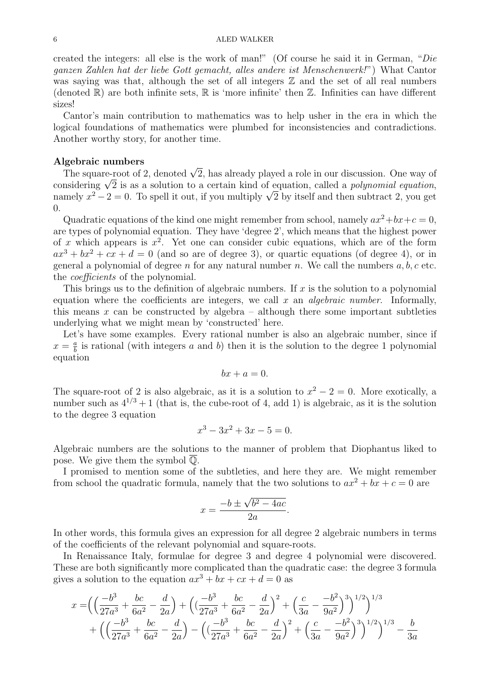created the integers: all else is the work of man!" (Of course he said it in German, "Die ganzen Zahlen hat der liebe Gott gemacht, alles andere ist Menschenwerk!") What Cantor was saying was that, although the set of all integers  $\mathbb Z$  and the set of all real numbers (denoted  $\mathbb{R}$ ) are both infinite sets,  $\mathbb{R}$  is 'more infinite' then  $\mathbb{Z}$ . Infinities can have different sizes!

Cantor's main contribution to mathematics was to help usher in the era in which the logical foundations of mathematics were plumbed for inconsistencies and contradictions. Another worthy story, for another time.

### Algebraic numbers

**gebraic numbers**<br>The square-root of 2, denoted  $\sqrt{2}$ , has already played a role in our discussion. One way of The square-root of 2, denoted  $\sqrt{2}$ , has already played a role in our discussion. One way of considering  $\sqrt{2}$  is as a solution to a certain kind of equation, called a *polynomial equation*, considering  $\sqrt{2}$  is as a solution to a certain kind of equation, called a *polynomial equation*,<br>namely  $x^2 - 2 = 0$ . To spell it out, if you multiply  $\sqrt{2}$  by itself and then subtract 2, you get 0.

Quadratic equations of the kind one might remember from school, namely  $ax^2+bx+c=0$ , are types of polynomial equation. They have 'degree 2', which means that the highest power of x which appears is  $x^2$ . Yet one can consider cubic equations, which are of the form  $ax^3 + bx^2 + cx + d = 0$  (and so are of degree 3), or quartic equations (of degree 4), or in general a polynomial of degree n for any natural number n. We call the numbers  $a, b, c$  etc. the coefficients of the polynomial.

This brings us to the definition of algebraic numbers. If x is the solution to a polynomial equation where the coefficients are integers, we call  $x$  an *algebraic number*. Informally, this means x can be constructed by algebra – although there some important subtleties underlying what we might mean by 'constructed' here.

Let's have some examples. Every rational number is also an algebraic number, since if  $x=\frac{a}{b}$  $\frac{a}{b}$  is rational (with integers a and b) then it is the solution to the degree 1 polynomial equation

$$
bx + a = 0.
$$

The square-root of 2 is also algebraic, as it is a solution to  $x^2 - 2 = 0$ . More exotically, a number such as  $4^{1/3} + 1$  (that is, the cube-root of 4, add 1) is algebraic, as it is the solution to the degree 3 equation

$$
x^3 - 3x^2 + 3x - 5 = 0.
$$

Algebraic numbers are the solutions to the manner of problem that Diophantus liked to pose. We give them the symbol Q.

I promised to mention some of the subtleties, and here they are. We might remember from school the quadratic formula, namely that the two solutions to  $ax^2 + bx + c = 0$  are

$$
x = \frac{-b \pm \sqrt{b^2 - 4ac}}{2a}
$$

.

In other words, this formula gives an expression for all degree 2 algebraic numbers in terms of the coefficients of the relevant polynomial and square-roots.

In Renaissance Italy, formulae for degree 3 and degree 4 polynomial were discovered. These are both significantly more complicated than the quadratic case: the degree 3 formula gives a solution to the equation  $ax^3 + bx + cx + d = 0$  as

$$
x = \left( \left( \frac{-b^3}{27a^3} + \frac{bc}{6a^2} - \frac{d}{2a} \right) + \left( \left( \frac{-b^3}{27a^3} + \frac{bc}{6a^2} - \frac{d}{2a} \right)^2 + \left( \frac{c}{3a} - \frac{-b^2}{9a^2} \right)^3 \right)^{1/2} \right)^{1/3} + \left( \left( \frac{-b^3}{27a^3} + \frac{bc}{6a^2} - \frac{d}{2a} \right) - \left( \left( \frac{-b^3}{27a^3} + \frac{bc}{6a^2} - \frac{d}{2a} \right)^2 + \left( \frac{c}{3a} - \frac{-b^2}{9a^2} \right)^3 \right)^{1/2} \right)^{1/3} - \frac{b}{3a}
$$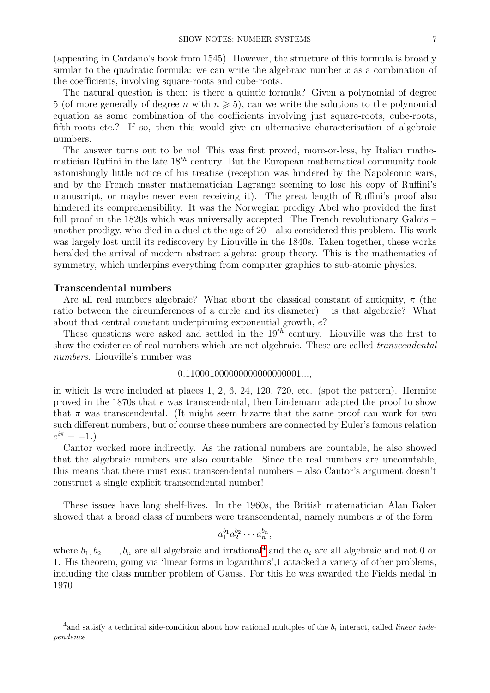(appearing in Cardano's book from 1545). However, the structure of this formula is broadly similar to the quadratic formula: we can write the algebraic number  $x$  as a combination of the coefficients, involving square-roots and cube-roots.

The natural question is then: is there a quintic formula? Given a polynomial of degree 5 (of more generally of degree *n* with  $n \ge 5$ ), can we write the solutions to the polynomial equation as some combination of the coefficients involving just square-roots, cube-roots, fifth-roots etc.? If so, then this would give an alternative characterisation of algebraic numbers.

The answer turns out to be no! This was first proved, more-or-less, by Italian mathematician Ruffini in the late  $18^{th}$  century. But the European mathematical community took astonishingly little notice of his treatise (reception was hindered by the Napoleonic wars, and by the French master mathematician Lagrange seeming to lose his copy of Ruffini's manuscript, or maybe never even receiving it). The great length of Ruffini's proof also hindered its comprehensibility. It was the Norwegian prodigy Abel who provided the first full proof in the 1820s which was universally accepted. The French revolutionary Galois – another prodigy, who died in a duel at the age of  $20 -$  also considered this problem. His work was largely lost until its rediscovery by Liouville in the 1840s. Taken together, these works heralded the arrival of modern abstract algebra: group theory. This is the mathematics of symmetry, which underpins everything from computer graphics to sub-atomic physics.

### Transcendental numbers

Are all real numbers algebraic? What about the classical constant of antiquity,  $\pi$  (the ratio between the circumferences of a circle and its diameter) – is that algebraic? What about that central constant underpinning exponential growth, e?

These questions were asked and settled in the  $19<sup>th</sup>$  century. Liouville was the first to show the existence of real numbers which are not algebraic. These are called transcendental numbers. Liouville's number was

### 0.110001000000000000000001...,

in which 1s were included at places 1, 2, 6, 24, 120, 720, etc. (spot the pattern). Hermite proved in the 1870s that e was transcendental, then Lindemann adapted the proof to show that  $\pi$  was transcendental. (It might seem bizarre that the same proof can work for two such different numbers, but of course these numbers are connected by Euler's famous relation  $e^{i\pi} = -1.$ 

Cantor worked more indirectly. As the rational numbers are countable, he also showed that the algebraic numbers are also countable. Since the real numbers are uncountable, this means that there must exist transcendental numbers – also Cantor's argument doesn't construct a single explicit transcendental number!

These issues have long shelf-lives. In the 1960s, the British matematician Alan Baker showed that a broad class of numbers were transcendental, namely numbers x of the form

$$
a_1^{b_1}a_2^{b_2}\cdots a_n^{b_n},
$$

where  $b_1, b_2, \ldots, b_n$  are all algebraic and irrational<sup>1</sup> and the  $a_i$  are all algebraic and not 0 or 1. His theorem, going via 'linear forms in logarithms',1 attacked a variety of other problems, including the class number problem of Gauss. For this he was awarded the Fields medal in 1970

<span id="page-6-0"></span><sup>&</sup>lt;sup>4</sup> and satisfy a technical side-condition about how rational multiples of the  $b_i$  interact, called *linear inde*pendence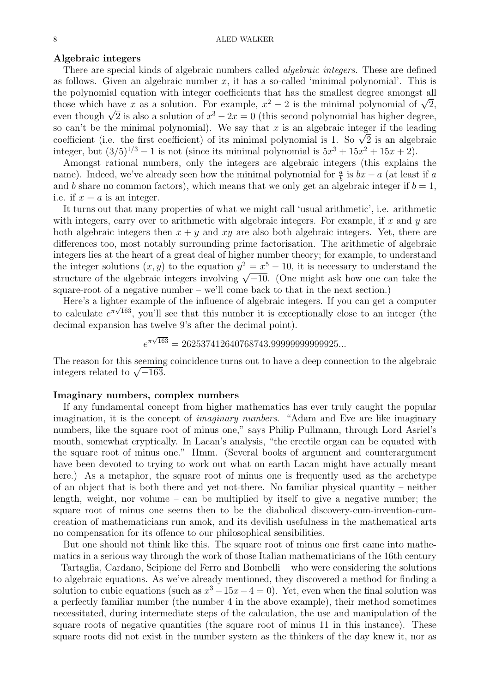### Algebraic integers

There are special kinds of algebraic numbers called *algebraic integers*. These are defined as follows. Given an algebraic number  $x$ , it has a so-called 'minimal polynomial'. This is the polynomial equation with integer coefficients that has the smallest degree amongst all the polynomial equation with integer coefficients that has the smallest degree amongst all those which have x as a solution. For example,  $x^2 - 2$  is the minimal polynomial of  $\sqrt{2}$ , those which have x as a solution. For example,  $x^2 - 2$  is the minimal polynomial of  $\sqrt{2}$ , even though  $\sqrt{2}$  is also a solution of  $x^3 - 2x = 0$  (this second polynomial has higher degree, so can't be the minimal polynomial). We say that x is an algebraic integer if the leading so can t be the minimal polynomial). We say that x is an algebraic integer if the leading<br>coefficient (i.e. the first coefficient) of its minimal polynomial is 1. So  $\sqrt{2}$  is an algebraic integer, but  $(3/5)^{1/3} - 1$  is not (since its minimal polynomial is  $5x^3 + 15x^2 + 15x + 2$ ).

Amongst rational numbers, only the integers are algebraic integers (this explains the name). Indeed, we've already seen how the minimal polynomial for  $\frac{a}{b}$  is  $bx - a$  (at least if a and b share no common factors), which means that we only get an algebraic integer if  $b = 1$ , i.e. if  $x = a$  is an integer.

It turns out that many properties of what we might call 'usual arithmetic', i.e. arithmetic with integers, carry over to arithmetic with algebraic integers. For example, if  $x$  and  $y$  are both algebraic integers then  $x + y$  and  $xy$  are also both algebraic integers. Yet, there are differences too, most notably surrounding prime factorisation. The arithmetic of algebraic integers lies at the heart of a great deal of higher number theory; for example, to understand the integer solutions  $(x, y)$  to the equation  $y^2 = x^5 - 10$ , it is necessary to understand the the integer solutions  $(x, y)$  to the equation  $y = x^2 - 10$ , it is necessary to understand the structure of the algebraic integers involving  $\sqrt{-10}$ . (One might ask how one can take the square-root of a negative number – we'll come back to that in the next section.)

Here's a lighter example of the influence of algebraic integers. If you can get a computer to calculate  $e^{\pi\sqrt{163}}$ , you'll see that this number it is exceptionally close to an integer (the decimal expansion has twelve 9's after the decimal point).

$$
e^{\pi\sqrt{163}} = 262537412640768743.99999999999925...
$$

The reason for this seeming coincidence turns out to have a deep connection to the algebraic The reason for this seeming<br>integers related to  $\sqrt{-163}$ .

### Imaginary numbers, complex numbers

If any fundamental concept from higher mathematics has ever truly caught the popular imagination, it is the concept of imaginary numbers. "Adam and Eve are like imaginary numbers, like the square root of minus one," says Philip Pullmann, through Lord Asriel's mouth, somewhat cryptically. In Lacan's analysis, "the erectile organ can be equated with the square root of minus one." Hmm. (Several books of argument and counterargument have been devoted to trying to work out what on earth Lacan might have actually meant here.) As a metaphor, the square root of minus one is frequently used as the archetype of an object that is both there and yet not-there. No familiar physical quantity – neither length, weight, nor volume – can be multiplied by itself to give a negative number; the square root of minus one seems then to be the diabolical discovery-cum-invention-cumcreation of mathematicians run amok, and its devilish usefulness in the mathematical arts no compensation for its offence to our philosophical sensibilities.

But one should not think like this. The square root of minus one first came into mathematics in a serious way through the work of those Italian mathematicians of the 16th century – Tartaglia, Cardano, Scipione del Ferro and Bombelli – who were considering the solutions to algebraic equations. As we've already mentioned, they discovered a method for finding a solution to cubic equations (such as  $x^3 - 15x - 4 = 0$ ). Yet, even when the final solution was a perfectly familiar number (the number 4 in the above example), their method sometimes necessitated, during intermediate steps of the calculation, the use and manipulation of the square roots of negative quantities (the square root of minus 11 in this instance). These square roots did not exist in the number system as the thinkers of the day knew it, nor as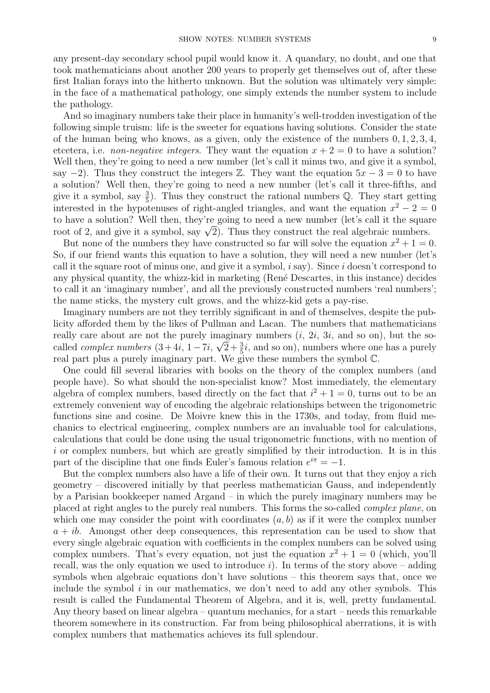any present-day secondary school pupil would know it. A quandary, no doubt, and one that took mathematicians about another 200 years to properly get themselves out of, after these first Italian forays into the hitherto unknown. But the solution was ultimately very simple: in the face of a mathematical pathology, one simply extends the number system to include the pathology.

And so imaginary numbers take their place in humanity's well-trodden investigation of the following simple truism: life is the sweeter for equations having solutions. Consider the state of the human being who knows, as a given, only the existence of the numbers  $0, 1, 2, 3, 4$ , etcetera, i.e. *non-negative integers*. They want the equation  $x + 2 = 0$  to have a solution? Well then, they're going to need a new number (let's call it minus two, and give it a symbol, say −2). Thus they construct the integers  $\mathbb{Z}$ . They want the equation  $5x - 3 = 0$  to have a solution? Well then, they're going to need a new number (let's call it three-fifths, and give it a symbol, say  $\frac{3}{5}$ ). Thus they construct the rational numbers Q. They start getting interested in the hypotenuses of right-angled triangles, and want the equation  $x^2 - 2 = 0$ to have a solution? Well then, they're going to need a new number (let's call it the square to have a solution: wen then, they re going to heed a new number (let s can it the squal<br>root of 2, and give it a symbol, say  $\sqrt{2}$ ). Thus they construct the real algebraic numbers.

But none of the numbers they have constructed so far will solve the equation  $x^2 + 1 = 0$ . So, if our friend wants this equation to have a solution, they will need a new number (let's call it the square root of minus one, and give it a symbol,  $i$  say). Since  $i$  doesn't correspond to any physical quantity, the whizz-kid in marketing (René Descartes, in this instance) decides to call it an 'imaginary number', and all the previously constructed numbers 'real numbers'; the name sticks, the mystery cult grows, and the whizz-kid gets a pay-rise.

Imaginary numbers are not they terribly significant in and of themselves, despite the publicity afforded them by the likes of Pullman and Lacan. The numbers that mathematicians really care about are not the purely imaginary numbers  $(i, 2i, 3i,$  and so on), but the socalled *complex numbers*  $(3+4i, 1-7i, \sqrt{2}+\frac{3}{5}i,$  and so on), numbers where one has a purely real part plus a purely imaginary part. We give these numbers the symbol C.

One could fill several libraries with books on the theory of the complex numbers (and people have). So what should the non-specialist know? Most immediately, the elementary algebra of complex numbers, based directly on the fact that  $i^2 + 1 = 0$ , turns out to be an extremely convenient way of encoding the algebraic relationships between the trigonometric functions sine and cosine. De Moivre knew this in the 1730s, and today, from fluid mechanics to electrical engineering, complex numbers are an invaluable tool for calculations, calculations that could be done using the usual trigonometric functions, with no mention of i or complex numbers, but which are greatly simplified by their introduction. It is in this part of the discipline that one finds Euler's famous relation  $e^{i\pi} = -1$ .

But the complex numbers also have a life of their own. It turns out that they enjoy a rich geometry – discovered initially by that peerless mathematician Gauss, and independently by a Parisian bookkeeper named Argand – in which the purely imaginary numbers may be placed at right angles to the purely real numbers. This forms the so-called complex plane, on which one may consider the point with coordinates  $(a, b)$  as if it were the complex number  $a + ib$ . Amongst other deep consequences, this representation can be used to show that every single algebraic equation with coefficients in the complex numbers can be solved using complex numbers. That's every equation, not just the equation  $x^2 + 1 = 0$  (which, you'll recall, was the only equation we used to introduce i). In terms of the story above – adding symbols when algebraic equations don't have solutions – this theorem says that, once we include the symbol  $i$  in our mathematics, we don't need to add any other symbols. This result is called the Fundamental Theorem of Algebra, and it is, well, pretty fundamental. Any theory based on linear algebra – quantum mechanics, for a start – needs this remarkable theorem somewhere in its construction. Far from being philosophical aberrations, it is with complex numbers that mathematics achieves its full splendour.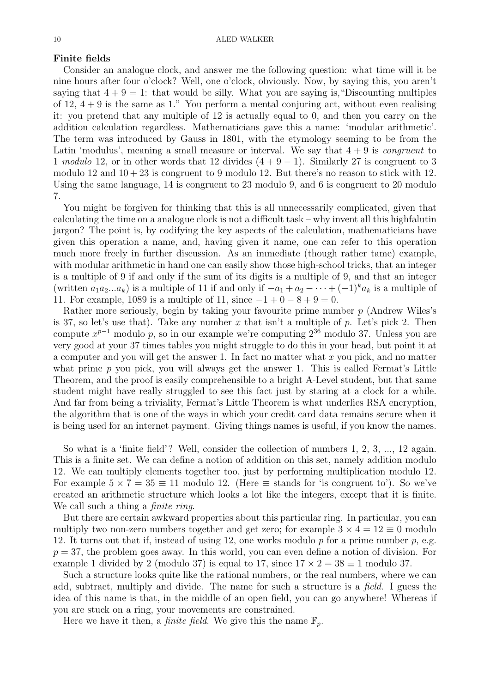### Finite fields

Consider an analogue clock, and answer me the following question: what time will it be nine hours after four o'clock? Well, one o'clock, obviously. Now, by saying this, you aren't saying that  $4 + 9 = 1$ : that would be silly. What you are saying is, "Discounting multiples of 12,  $4 + 9$  is the same as 1." You perform a mental conjuring act, without even realising it: you pretend that any multiple of 12 is actually equal to 0, and then you carry on the addition calculation regardless. Mathematicians gave this a name: 'modular arithmetic'. The term was introduced by Gauss in 1801, with the etymology seeming to be from the Latin 'modulus', meaning a small measure or interval. We say that  $4 + 9$  is *congruent* to 1 modulo 12, or in other words that 12 divides  $(4 + 9 - 1)$ . Similarly 27 is congruent to 3 modulo 12 and  $10 + 23$  is congruent to 9 modulo 12. But there's no reason to stick with 12. Using the same language, 14 is congruent to 23 modulo 9, and 6 is congruent to 20 modulo 7.

You might be forgiven for thinking that this is all unnecessarily complicated, given that calculating the time on a analogue clock is not a difficult task – why invent all this highfalutin jargon? The point is, by codifying the key aspects of the calculation, mathematicians have given this operation a name, and, having given it name, one can refer to this operation much more freely in further discussion. As an immediate (though rather tame) example, with modular arithmetic in hand one can easily show those high-school tricks, that an integer is a multiple of 9 if and only if the sum of its digits is a multiple of 9, and that an integer (written  $a_1a_2...a_k$ ) is a multiple of 11 if and only if  $-a_1 + a_2 - \cdots + (-1)^k a_k$  is a multiple of 11. For example, 1089 is a multiple of 11, since  $-1 + 0 - 8 + 9 = 0$ .

Rather more seriously, begin by taking your favourite prime number p (Andrew Wiles's is 37, so let's use that). Take any number x that isn't a multiple of p. Let's pick 2. Then compute  $x^{p-1}$  modulo p, so in our example we're computing  $2^{36}$  modulo 37. Unless you are very good at your 37 times tables you might struggle to do this in your head, but point it at a computer and you will get the answer 1. In fact no matter what  $x$  you pick, and no matter what prime  $p$  you pick, you will always get the answer 1. This is called Fermat's Little Theorem, and the proof is easily comprehensible to a bright A-Level student, but that same student might have really struggled to see this fact just by staring at a clock for a while. And far from being a triviality, Fermat's Little Theorem is what underlies RSA encryption, the algorithm that is one of the ways in which your credit card data remains secure when it is being used for an internet payment. Giving things names is useful, if you know the names.

So what is a 'finite field'? Well, consider the collection of numbers 1, 2, 3, ..., 12 again. This is a finite set. We can define a notion of addition on this set, namely addition modulo 12. We can multiply elements together too, just by performing multiplication modulo 12. For example  $5 \times 7 = 35 \equiv 11$  modulo 12. (Here  $\equiv$  stands for 'is congruent to'). So we've created an arithmetic structure which looks a lot like the integers, except that it is finite. We call such a thing a *finite ring*.

But there are certain awkward properties about this particular ring. In particular, you can multiply two non-zero numbers together and get zero; for example  $3 \times 4 = 12 \equiv 0$  modulo 12. It turns out that if, instead of using 12, one works modulo  $p$  for a prime number  $p$ , e.g.  $p = 37$ , the problem goes away. In this world, you can even define a notion of division. For example 1 divided by 2 (modulo 37) is equal to 17, since  $17 \times 2 = 38 \equiv 1$  modulo 37.

Such a structure looks quite like the rational numbers, or the real numbers, where we can add, subtract, multiply and divide. The name for such a structure is a field. I guess the idea of this name is that, in the middle of an open field, you can go anywhere! Whereas if you are stuck on a ring, your movements are constrained.

Here we have it then, a *finite field*. We give this the name  $\mathbb{F}_p$ .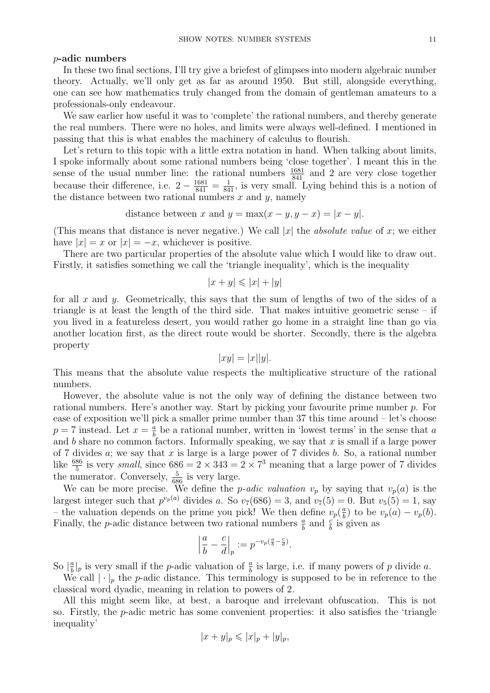### p-adic numbers

In these two final sections, I'll try give a briefest of glimpses into modern algebraic number theory. Actually, we'll only get as far as around 1950. But still, alongside everything, one can see how mathematics truly changed from the domain of gentleman amateurs to a professionals-only endeavour.

We saw earlier how useful it was to 'complete' the rational numbers, and thereby generate the real numbers. There were no holes, and limits were always well-defined. I mentioned in passing that this is what enables the machinery of calculus to flourish.

Let's return to this topic with a little extra notation in hand. When talking about limits, I spoke informally about some rational numbers being 'close together'. I meant this in the sense of the usual number line: the rational numbers  $\frac{1681}{841}$  and 2 are very close together because their difference, i.e.  $2 - \frac{1681}{841} = \frac{1}{841}$ , is very small. Lying behind this is a notion of the distance between two rational numbers  $x$  and  $y$ , namely

distance between x and  $y = \max(x - y, y - x) = |x - y|$ .

(This means that distance is never negative.) We call |x| the *absolute value* of x; we either have  $|x| = x$  or  $|x| = -x$ , whichever is positive.

There are two particular properties of the absolute value which I would like to draw out. Firstly, it satisfies something we call the 'triangle inequality', which is the inequality

$$
|x + y| \leq |x| + |y|
$$

for all x and y. Geometrically, this says that the sum of lengths of two of the sides of a triangle is at least the length of the third side. That makes intuitive geometric sense – if you lived in a featureless desert, you would rather go home in a straight line than go via another location first, as the direct route would be shorter. Secondly, there is the algebra property

$$
|xy| = |x||y|.
$$

This means that the absolute value respects the multiplicative structure of the rational numbers.

However, the absolute value is not the only way of defining the distance between two rational numbers. Here's another way. Start by picking your favourite prime number p. For ease of exposition we'll pick a smaller prime number than 37 this time around – let's choose  $p = 7$  instead. Let  $x = \frac{a}{b}$  $\frac{a}{b}$  be a rational number, written in 'lowest terms' in the sense that a and b share no common factors. Informally speaking, we say that  $x$  is small if a large power of 7 divides  $a$ ; we say that  $x$  is large is a large power of 7 divides  $b$ . So, a rational number like  $\frac{686}{5}$  is very *small*, since  $686 = 2 \times 343 = 2 \times 7^3$  meaning that a large power of 7 divides the numerator. Conversely,  $\frac{5}{686}$  is very large.

We can be more precise. We define the *p-adic valuation*  $v_p$  by saying that  $v_p(a)$  is the largest integer such that  $p^{v_p(a)}$  divides a. So  $v_7(686) = 3$ , and  $v_7(5) = 0$ . But  $v_5(5) = 1$ , say – the valuation depends on the prime you pick! We then define  $v_p(\frac{a}{b})$  $\frac{a}{b}$ ) to be  $v_p(a) - v_p(b)$ . Finally, the *p*-adic distance between two rational numbers  $\frac{a}{b}$  and  $\frac{c}{b}$  is given as

$$
\left|\frac{a}{b} - \frac{c}{d}\right|_p := p^{-v_p(\frac{a}{b} - \frac{c}{d})}.
$$

So  $\frac{a}{b}$  $\frac{a}{b}|_p$  is very small if the *p*-adic valuation of  $\frac{a}{b}$  is large, i.e. if many powers of *p* divide *a*.

We call  $|\cdot|_p$  the p-adic distance. This terminology is supposed to be in reference to the classical word dyadic, meaning in relation to powers of 2.

All this might seem like, at best, a baroque and irrelevant obfuscation. This is not so. Firstly, the  $p$ -adic metric has some convenient properties: it also satisfies the 'triangle inequality'

$$
|x+y|_p \leqslant |x|_p + |y|_p,
$$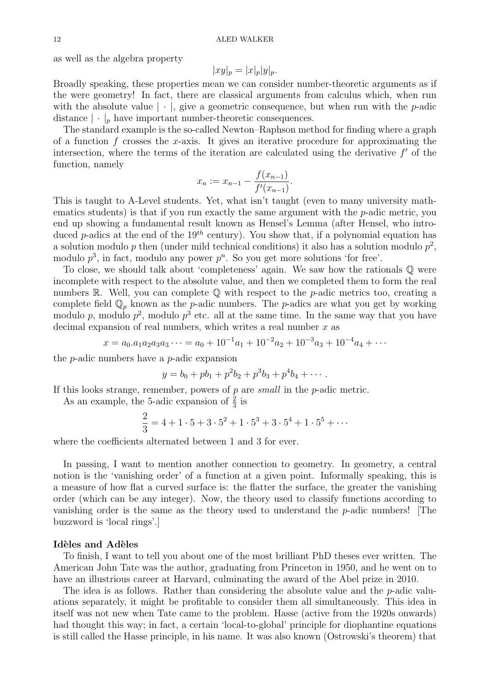as well as the algebra property

$$
|xy|_p = |x|_p |y|_p.
$$

Broadly speaking, these properties mean we can consider number-theoretic arguments as if the were geometry! In fact, there are classical arguments from calculus which, when run with the absolute value  $|\cdot|$ , give a geometric consequence, but when run with the p-adic distance  $|\cdot|_p$  have important number-theoretic consequences.

The standard example is the so-called Newton–Raphson method for finding where a graph of a function f crosses the x-axis. It gives an iterative procedure for approximating the intersection, where the terms of the iteration are calculated using the derivative  $f'$  of the function, namely

$$
x_n := x_{n-1} - \frac{f(x_{n-1})}{f'(x_{n-1})}.
$$

This is taught to A-Level students. Yet, what isn't taught (even to many university mathematics students) is that if you run exactly the same argument with the  $p$ -adic metric, you end up showing a fundamental result known as Hensel's Lemma (after Hensel, who introduced p-adics at the end of the  $19^{th}$  century). You show that, if a polynomial equation has a solution modulo p then (under mild technical conditions) it also has a solution modulo  $p^2$ , modulo  $p^3$ , in fact, modulo any power  $p^n$ . So you get more solutions 'for free'.

To close, we should talk about 'completeness' again. We saw how the rationals Q were incomplete with respect to the absolute value, and then we completed them to form the real numbers R. Well, you can complete  $\mathbb Q$  with respect to the *p*-adic metrics too, creating a complete field  $\mathbb{Q}_p$  known as the p-adic numbers. The p-adics are what you get by working modulo p, modulo  $p^2$ , modulo  $p^3$  etc. all at the same time. In the same way that you have decimal expansion of real numbers, which writes a real number  $x$  as

$$
x = a_0 \cdot a_1 a_2 a_3 a_3 \cdots = a_0 + 10^{-1} a_1 + 10^{-2} a_2 + 10^{-3} a_3 + 10^{-4} a_4 + \cdots
$$

the p-adic numbers have a p-adic expansion

$$
y = b_0 + pb_1 + p^2b_2 + p^3b_3 + p^4b_4 + \cdots
$$

If this looks strange, remember, powers of  $p$  are small in the  $p$ -adic metric.

As an example, the 5-adic expansion of  $\frac{2}{3}$  is

$$
\frac{2}{3} = 4 + 1 \cdot 5 + 3 \cdot 5^2 + 1 \cdot 5^3 + 3 \cdot 5^4 + 1 \cdot 5^5 + \cdots
$$

where the coefficients alternated between 1 and 3 for ever.

In passing, I want to mention another connection to geometry. In geometry, a central notion is the 'vanishing order' of a function at a given point. Informally speaking, this is a measure of how flat a curved surface is: the flatter the surface, the greater the vanishing order (which can be any integer). Now, the theory used to classify functions according to vanishing order is the same as the theory used to understand the p-adic numbers! [The buzzword is 'local rings'.]

### Idèles and Adèles

To finish, I want to tell you about one of the most brilliant PhD theses ever written. The American John Tate was the author, graduating from Princeton in 1950, and he went on to have an illustrious career at Harvard, culminating the award of the Abel prize in 2010.

The idea is as follows. Rather than considering the absolute value and the  $p$ -adic valuations separately, it might be profitable to consider them all simultaneously. This idea in itself was not new when Tate came to the problem. Hasse (active from the 1920s onwards) had thought this way; in fact, a certain 'local-to-global' principle for diophantine equations is still called the Hasse principle, in his name. It was also known (Ostrowski's theorem) that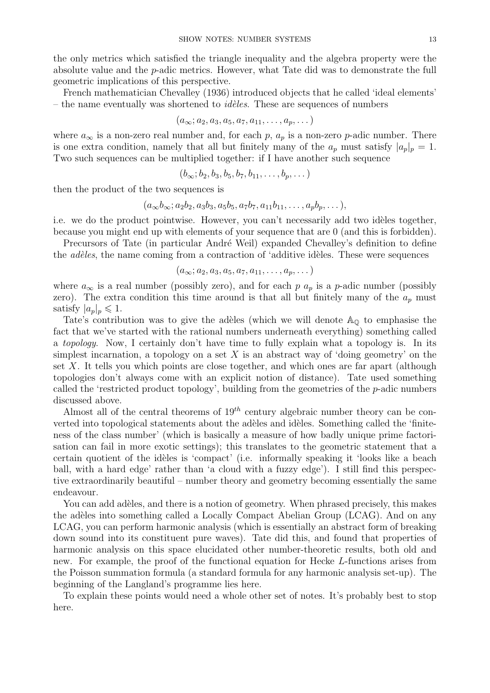the only metrics which satisfied the triangle inequality and the algebra property were the absolute value and the p-adic metrics. However, what Tate did was to demonstrate the full geometric implications of this perspective.

French mathematician Chevalley (1936) introduced objects that he called 'ideal elements' – the name eventually was shortened to *idèles*. These are sequences of numbers

$$
(a_{\infty}; a_2, a_3, a_5, a_7, a_{11}, \ldots, a_p, \ldots)
$$

where  $a_{\infty}$  is a non-zero real number and, for each p,  $a_p$  is a non-zero p-adic number. There is one extra condition, namely that all but finitely many of the  $a_p$  must satisfy  $|a_p|_p = 1$ . Two such sequences can be multiplied together: if I have another such sequence

$$
(b_{\infty}; b_2, b_3, b_5, b_7, b_{11}, \ldots, b_p, \ldots)
$$

then the product of the two sequences is

$$
(a_{\infty}b_{\infty}; a_2b_2, a_3b_3, a_5b_5, a_7b_7, a_{11}b_{11}, \ldots, a_pb_p, \ldots),
$$

i.e. we do the product pointwise. However, you can't necessarily add two idèles together, because you might end up with elements of your sequence that are 0 (and this is forbidden).

Precursors of Tate (in particular André Weil) expanded Chevalley's definition to define the *adèles*, the name coming from a contraction of 'additive idèles. These were sequences

$$
(a_{\infty}; a_2, a_3, a_5, a_7, a_{11}, \ldots, a_p, \ldots)
$$

where  $a_{\infty}$  is a real number (possibly zero), and for each p  $a_p$  is a p-adic number (possibly zero). The extra condition this time around is that all but finitely many of the  $a_p$  must satisfy  $|a_p|_p \leq 1$ .

Tate's contribution was to give the adèles (which we will denote  $A_{\mathbb{Q}}$  to emphasise the fact that we've started with the rational numbers underneath everything) something called a *topology*. Now, I certainly don't have time to fully explain what a topology is. In its simplest incarnation, a topology on a set  $X$  is an abstract way of 'doing geometry' on the set  $X$ . It tells you which points are close together, and which ones are far apart (although topologies don't always come with an explicit notion of distance). Tate used something called the 'restricted product topology', building from the geometries of the  $p$ -adic numbers discussed above.

Almost all of the central theorems of  $19^{th}$  century algebraic number theory can be converted into topological statements about the adèles and idèles. Something called the 'finiteness of the class number' (which is basically a measure of how badly unique prime factorisation can fail in more exotic settings); this translates to the geometric statement that a certain quotient of the idèles is 'compact' (i.e. informally speaking it 'looks like a beach ball, with a hard edge' rather than 'a cloud with a fuzzy edge'). I still find this perspective extraordinarily beautiful – number theory and geometry becoming essentially the same endeavour.

You can add adèles, and there is a notion of geometry. When phrased precisely, this makes the adèles into something called a Locally Compact Abelian Group (LCAG). And on any LCAG, you can perform harmonic analysis (which is essentially an abstract form of breaking down sound into its constituent pure waves). Tate did this, and found that properties of harmonic analysis on this space elucidated other number-theoretic results, both old and new. For example, the proof of the functional equation for Hecke L-functions arises from the Poisson summation formula (a standard formula for any harmonic analysis set-up). The beginning of the Langland's programme lies here.

To explain these points would need a whole other set of notes. It's probably best to stop here.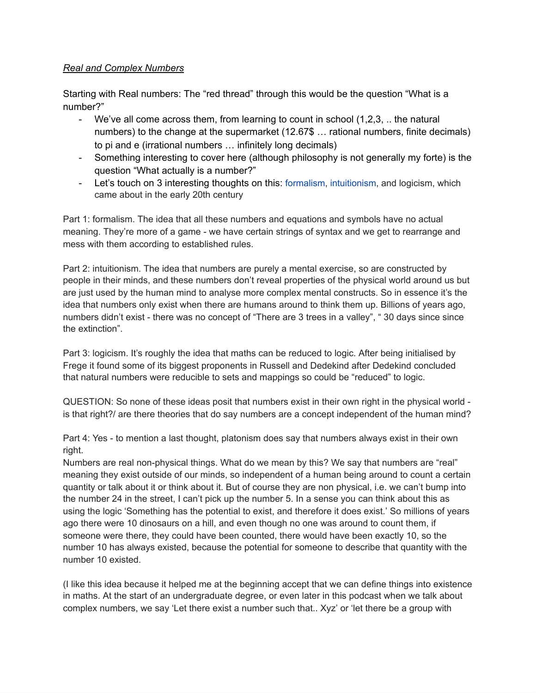## *Real and Complex Numbers*

Starting with Real numbers: The "red thread" through this would be the question "What is a number?"

- We've all come across them, from learning to count in school  $(1,2,3, \ldots)$  the natural numbers) to the change at the supermarket (12.67\$ … rational numbers, finite decimals) to pi and e (irrational numbers … infinitely long decimals)
- Something interesting to cover here (although philosophy is not generally my forte) is the question "What actually is a number?"
- Let's touch on 3 interesting thoughts on this: [formalism](https://en.wikipedia.org/wiki/Formalism_(mathematics)), [intuitionism,](https://en.wikipedia.org/wiki/Intuitionism) and logicism, which came about in the early 20th century

Part 1: formalism. The idea that all these numbers and equations and symbols have no actual meaning. They're more of a game - we have certain strings of syntax and we get to rearrange and mess with them according to established rules.

Part 2: intuitionism. The idea that numbers are purely a mental exercise, so are constructed by people in their minds, and these numbers don't reveal properties of the physical world around us but are just used by the human mind to analyse more complex mental constructs. So in essence it's the idea that numbers only exist when there are humans around to think them up. Billions of years ago, numbers didn't exist - there was no concept of "There are 3 trees in a valley", " 30 days since since the extinction".

Part 3: logicism. It's roughly the idea that maths can be reduced to logic. After being initialised by Frege it found some of its biggest proponents in Russell and Dedekind after Dedekind concluded that natural numbers were reducible to sets and mappings so could be "reduced" to logic.

QUESTION: So none of these ideas posit that numbers exist in their own right in the physical world is that right?/ are there theories that do say numbers are a concept independent of the human mind?

Part 4: Yes - to mention a last thought, platonism does say that numbers always exist in their own right.

Numbers are real non-physical things. What do we mean by this? We say that numbers are "real" meaning they exist outside of our minds, so independent of a human being around to count a certain quantity or talk about it or think about it. But of course they are non physical, i.e. we can't bump into the number 24 in the street, I can't pick up the number 5. In a sense you can think about this as using the logic 'Something has the potential to exist, and therefore it does exist.' So millions of years ago there were 10 dinosaurs on a hill, and even though no one was around to count them, if someone were there, they could have been counted, there would have been exactly 10, so the number 10 has always existed, because the potential for someone to describe that quantity with the number 10 existed.

(I like this idea because it helped me at the beginning accept that we can define things into existence in maths. At the start of an undergraduate degree, or even later in this podcast when we talk about complex numbers, we say 'Let there exist a number such that.. Xyz' or 'let there be a group with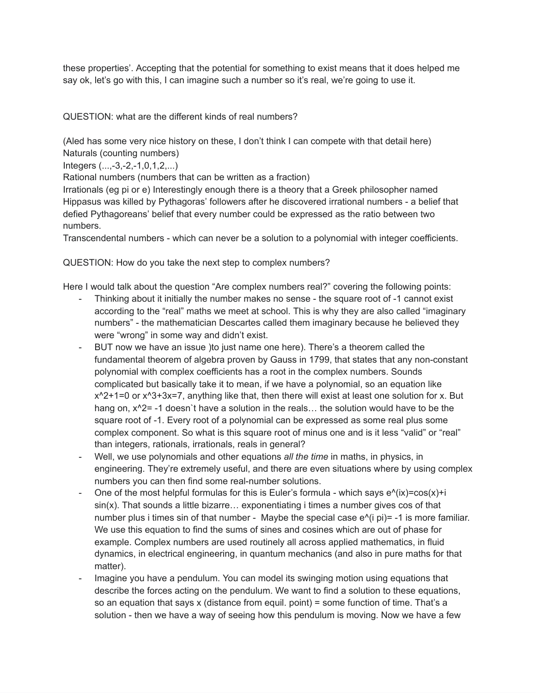these properties'. Accepting that the potential for something to exist means that it does helped me say ok, let's go with this, I can imagine such a number so it's real, we're going to use it.

QUESTION: what are the different kinds of real numbers?

(Aled has some very nice history on these, I don't think I can compete with that detail here) Naturals (counting numbers)

Integers (...,-3,-2,-1,0,1,2,...)

Rational numbers (numbers that can be written as a fraction)

Irrationals (eg pi or e) Interestingly enough there is a theory that a Greek philosopher named Hippasus was killed by Pythagoras' followers after he discovered irrational numbers - a belief that defied Pythagoreans' belief that every number could be expressed as the ratio between two numbers.

Transcendental numbers - which can never be a solution to a polynomial with integer coefficients.

QUESTION: How do you take the next step to complex numbers?

Here I would talk about the question "Are complex numbers real?" covering the following points:

- Thinking about it initially the number makes no sense the square root of -1 cannot exist according to the "real" maths we meet at school. This is why they are also called "imaginary numbers" - the mathematician Descartes called them imaginary because he believed they were "wrong" in some way and didn't exist.
- BUT now we have an issue )to just name one here). There's a theorem called the fundamental theorem of algebra proven by Gauss in 1799, that states that any non-constant polynomial with complex coefficients has a root in the complex numbers. Sounds complicated but basically take it to mean, if we have a polynomial, so an equation like  $x^2+1=0$  or  $x^3+3x=7$ , anything like that, then there will exist at least one solution for x. But hang on,  $x^2 = -1$  doesn't have a solution in the reals... the solution would have to be the square root of -1. Every root of a polynomial can be expressed as some real plus some complex component. So what is this square root of minus one and is it less "valid" or "real" than integers, rationals, irrationals, reals in general?
- Well, we use polynomials and other equations *all the time* in maths, in physics, in engineering. They're extremely useful, and there are even situations where by using complex numbers you can then find some real-number solutions.
- One of the most helpful formulas for this is Euler's formula which says  $e^{\Lambda}(ix)=cos(x)+i$ sin(x). That sounds a little bizarre… exponentiating i times a number gives cos of that number plus i times sin of that number - Maybe the special case e^(i pi)= -1 is more familiar. We use this equation to find the sums of sines and cosines which are out of phase for example. Complex numbers are used routinely all across applied mathematics, in fluid dynamics, in electrical engineering, in quantum mechanics (and also in pure maths for that matter).
- Imagine you have a pendulum. You can model its swinging motion using equations that describe the forces acting on the pendulum. We want to find a solution to these equations, so an equation that says x (distance from equil. point) = some function of time. That's a solution - then we have a way of seeing how this pendulum is moving. Now we have a few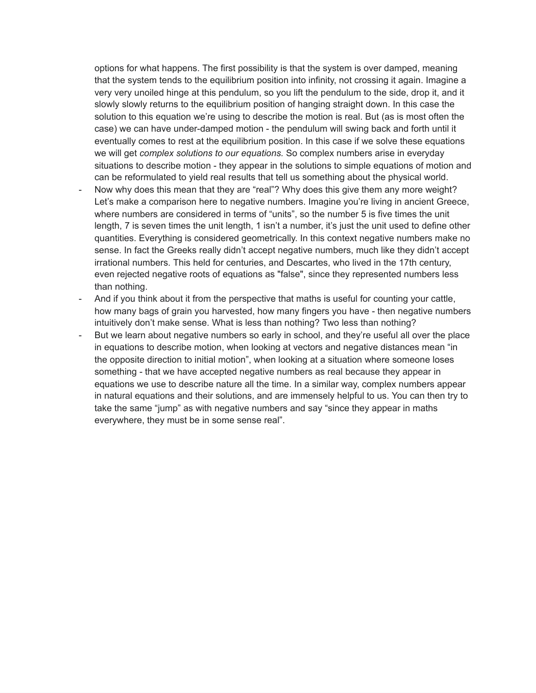options for what happens. The first possibility is that the system is over damped, meaning that the system tends to the equilibrium position into infinity, not crossing it again. Imagine a very very unoiled hinge at this pendulum, so you lift the pendulum to the side, drop it, and it slowly slowly returns to the equilibrium position of hanging straight down. In this case the solution to this equation we're using to describe the motion is real. But (as is most often the case) we can have under-damped motion - the pendulum will swing back and forth until it eventually comes to rest at the equilibrium position. In this case if we solve these equations we will get *complex solutions to our equations.* So complex numbers arise in everyday situations to describe motion - they appear in the solutions to simple equations of motion and can be reformulated to yield real results that tell us something about the physical world.

- Now why does this mean that they are "real"? Why does this give them any more weight? Let's make a comparison here to negative numbers. Imagine you're living in ancient Greece, where numbers are considered in terms of "units", so the number 5 is five times the unit length, 7 is seven times the unit length, 1 isn't a number, it's just the unit used to define other quantities. Everything is considered geometrically. In this context negative numbers make no sense. In fact the Greeks really didn't accept negative numbers, much like they didn't accept irrational numbers. This held for centuries, and Descartes, who lived in the 17th century, even rejected negative roots of equations as "false", since they represented numbers less than nothing.
- And if you think about it from the perspective that maths is useful for counting your cattle, how many bags of grain you harvested, how many fingers you have - then negative numbers intuitively don't make sense. What is less than nothing? Two less than nothing?
- But we learn about negative numbers so early in school, and they're useful all over the place in equations to describe motion, when looking at vectors and negative distances mean "in the opposite direction to initial motion", when looking at a situation where someone loses something - that we have accepted negative numbers as real because they appear in equations we use to describe nature all the time. In a similar way, complex numbers appear in natural equations and their solutions, and are immensely helpful to us. You can then try to take the same "jump" as with negative numbers and say "since they appear in maths everywhere, they must be in some sense real".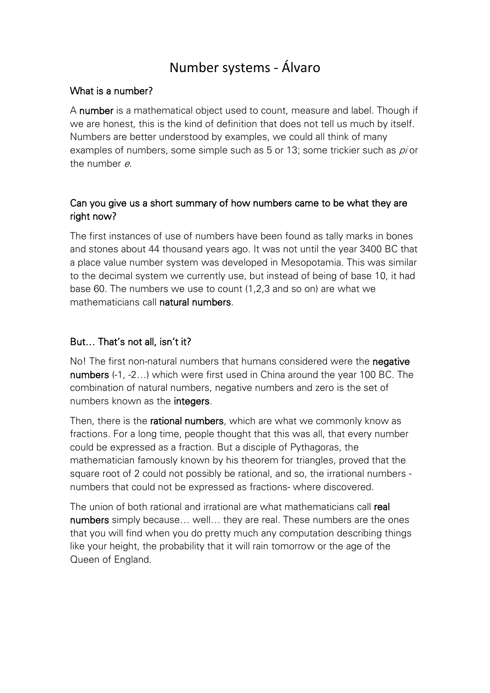# Number systems - Álvaro

# What is a number?

A number is a mathematical object used to count, measure and label. Though if we are honest, this is the kind of definition that does not tell us much by itself. Numbers are better understood by examples, we could all think of many examples of numbers, some simple such as 5 or 13; some trickier such as *pi* or the number <sup>e</sup>.

# Can you give us a short summary of how numbers came to be what they are right now?

The first instances of use of numbers have been found as tally marks in bones and stones about 44 thousand years ago. It was not until the year 3400 BC that a place value number system was developed in Mesopotamia. This was similar to the decimal system we currently use, but instead of being of base 10, it had base 60. The numbers we use to count (1,2,3 and so on) are what we mathematicians call natural numbers.

# But… That's not all, isn't it?

No! The first non-natural numbers that humans considered were the negative numbers (-1, -2…) which were first used in China around the year 100 BC. The combination of natural numbers, negative numbers and zero is the set of numbers known as the integers.

Then, there is the **rational numbers**, which are what we commonly know as fractions. For a long time, people thought that this was all, that every number could be expressed as a fraction. But a disciple of Pythagoras, the mathematician famously known by his theorem for triangles, proved that the square root of 2 could not possibly be rational, and so, the irrational numbers numbers that could not be expressed as fractions- where discovered.

The union of both rational and irrational are what mathematicians call real numbers simply because... well... they are real. These numbers are the ones that you will find when you do pretty much any computation describing things like your height, the probability that it will rain tomorrow or the age of the Queen of England.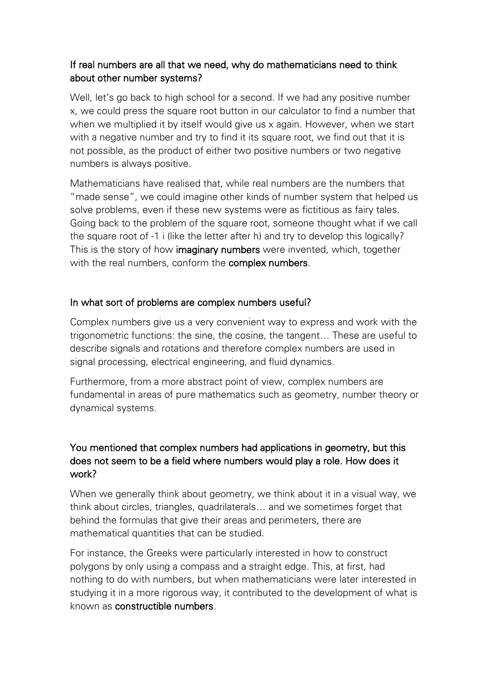# If real numbers are all that we need, why do mathematicians need to think about other number systems?

Well, let's go back to high school for a second. If we had any positive number x, we could press the square root button in our calculator to find a number that when we multiplied it by itself would give us x again. However, when we start with a negative number and try to find it its square root, we find out that it is not possible, as the product of either two positive numbers or two negative numbers is always positive.

Mathematicians have realised that, while real numbers are the numbers that "made sense", we could imagine other kinds of number system that helped us solve problems, even if these new systems were as fictitious as fairy tales. Going back to the problem of the square root, someone thought what if we call the square root of -1 i (like the letter after h) and try to develop this logically? This is the story of how **imaginary numbers** were invented, which, together with the real numbers, conform the **complex numbers**.

# In what sort of problems are complex numbers useful?

Complex numbers give us a very convenient way to express and work with the trigonometric functions: the sine, the cosine, the tangent… These are useful to describe signals and rotations and therefore complex numbers are used in signal processing, electrical engineering, and fluid dynamics.

Furthermore, from a more abstract point of view, complex numbers are fundamental in areas of pure mathematics such as geometry, number theory or dynamical systems.

# You mentioned that complex numbers had applications in geometry, but this does not seem to be a field where numbers would play a role. How does it work?

When we generally think about geometry, we think about it in a visual way, we think about circles, triangles, quadrilaterals… and we sometimes forget that behind the formulas that give their areas and perimeters, there are mathematical quantities that can be studied.

For instance, the Greeks were particularly interested in how to construct polygons by only using a compass and a straight edge. This, at first, had nothing to do with numbers, but when mathematicians were later interested in studying it in a more rigorous way, it contributed to the development of what is known as constructible numbers.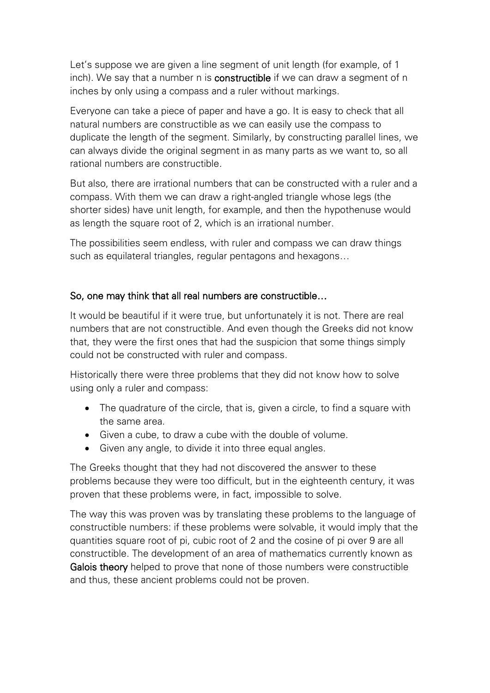Let's suppose we are given a line segment of unit length (for example, of 1 inch). We say that a number n is constructible if we can draw a segment of n inches by only using a compass and a ruler without markings.

Everyone can take a piece of paper and have a go. It is easy to check that all natural numbers are constructible as we can easily use the compass to duplicate the length of the segment. Similarly, by constructing parallel lines, we can always divide the original segment in as many parts as we want to, so all rational numbers are constructible.

But also, there are irrational numbers that can be constructed with a ruler and a compass. With them we can draw a right-angled triangle whose legs (the shorter sides) have unit length, for example, and then the hypothenuse would as length the square root of 2, which is an irrational number.

The possibilities seem endless, with ruler and compass we can draw things such as equilateral triangles, regular pentagons and hexagons…

# So, one may think that all real numbers are constructible…

It would be beautiful if it were true, but unfortunately it is not. There are real numbers that are not constructible. And even though the Greeks did not know that, they were the first ones that had the suspicion that some things simply could not be constructed with ruler and compass.

Historically there were three problems that they did not know how to solve using only a ruler and compass:

- The quadrature of the circle, that is, given a circle, to find a square with the same area.
- Given a cube, to draw a cube with the double of volume.
- Given any angle, to divide it into three equal angles.

The Greeks thought that they had not discovered the answer to these problems because they were too difficult, but in the eighteenth century, it was proven that these problems were, in fact, impossible to solve.

The way this was proven was by translating these problems to the language of constructible numbers: if these problems were solvable, it would imply that the quantities square root of pi, cubic root of 2 and the cosine of pi over 9 are all constructible. The development of an area of mathematics currently known as Galois theory helped to prove that none of those numbers were constructible and thus, these ancient problems could not be proven.